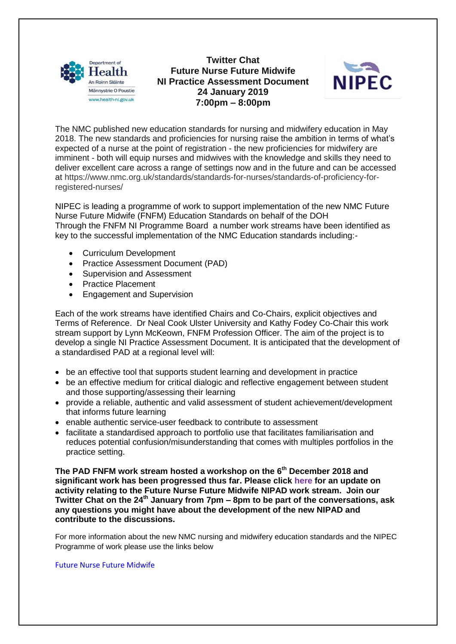

**Twitter Chat Future Nurse Future Midwife NI Practice Assessment Document 24 January 2019 7:00pm – 8:00pm** 



The NMC published new education standards for nursing and midwifery education in May 2018. The new standards and proficiencies for nursing raise the ambition in terms of what's expected of a nurse at the point of registration - the new proficiencies for midwifery are imminent - both will equip nurses and midwives with the knowledge and skills they need to deliver excellent care across a range of settings now and in the future and can be accessed at [https://www.nmc.org.uk/standards/standards-for-nurses/standards-of-proficiency-for](https://www.nmc.org.uk/standards/standards-for-nurses/standards-of-proficiency-for-registered-nurses/)[registered-nurses/](https://www.nmc.org.uk/standards/standards-for-nurses/standards-of-proficiency-for-registered-nurses/)

NIPEC is leading a programme of work to support implementation of the new NMC Future Nurse Future Midwife (FNFM) Education Standards on behalf of the DOH Through the FNFM NI Programme Board a number work streams have been identified as key to the successful implementation of the NMC Education standards including:-

- Curriculum Development
- Practice Assessment Document (PAD)
- Supervision and Assessment
- Practice Placement
- Engagement and Supervision

Each of the work streams have identified Chairs and Co-Chairs, explicit objectives and Terms of Reference. Dr Neal Cook Ulster University and Kathy Fodey Co-Chair this work stream support by Lynn McKeown, FNFM Profession Officer. The aim of the project is to develop a single NI Practice Assessment Document. It is anticipated that the development of a standardised PAD at a regional level will:

- be an effective tool that supports student learning and development in practice
- be an effective medium for critical dialogic and reflective engagement between student and those supporting/assessing their learning
- provide a reliable, authentic and valid assessment of student achievement/development that informs future learning
- enable authentic service-user feedback to contribute to assessment
- facilitate a standardised approach to portfolio use that facilitates familiarisation and reduces potential confusion/misunderstanding that comes with multiples portfolios in the practice setting.

**The PAD FNFM work stream hosted a workshop on the 6th December 2018 and significant work has been progressed thus far. Please click [here](http://www.nipec.hscni.net/download/projects/current_work/highstandards_education/future_nurse_future_midwife/communications/FNFM_Comms_PAD_Update_January2019.pdf) for an update on activity relating to the Future Nurse Future Midwife NIPAD work stream. Join our Twitter Chat on the 24th January from 7pm – 8pm to be part of the conversations, ask any questions you might have about the development of the new NIPAD and contribute to the discussions.** 

For more information about the new NMC nursing and midwifery education standards and the NIPEC Programme of work please use the links below

[Future Nurse Future Midwife](http://www.nipec.hscni.net/work-and-projects/stds-of-ed-amg-nurs-mids/future-nurse-future-midwife/)